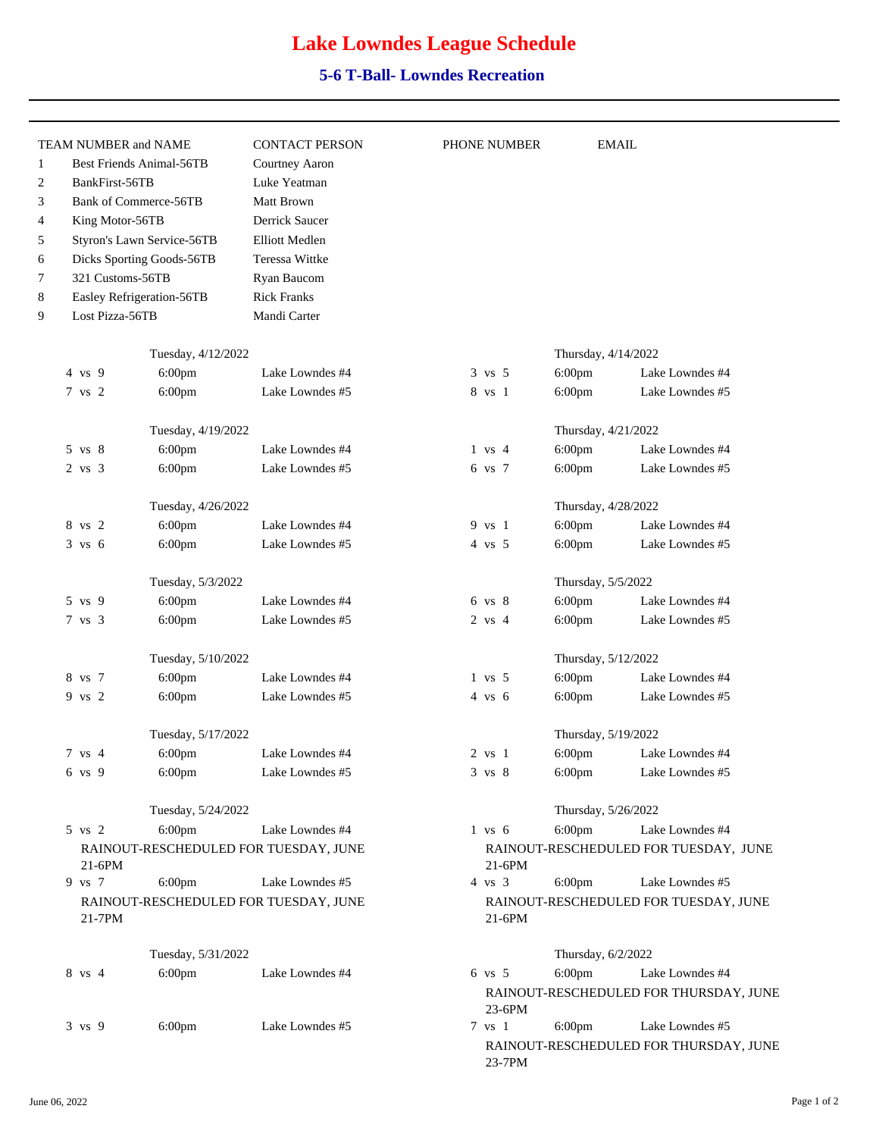## **Lake Lowndes League Schedule**

## **5-6 T-Ball- Lowndes Recreation**

| TEAM NUMBER and NAME            |                            | <b>CONTACT PERSON</b>                 | PHONE NUMBER      |                                        | <b>EMAIL</b>                           |  |
|---------------------------------|----------------------------|---------------------------------------|-------------------|----------------------------------------|----------------------------------------|--|
| <b>Best Friends Animal-56TB</b> |                            | Courtney Aaron                        |                   |                                        |                                        |  |
| BankFirst-56TB                  |                            | Luke Yeatman                          |                   |                                        |                                        |  |
|                                 | Bank of Commerce-56TB      | Matt Brown                            |                   |                                        |                                        |  |
| King Motor-56TB                 |                            | Derrick Saucer                        |                   |                                        |                                        |  |
|                                 | Styron's Lawn Service-56TB | <b>Elliott Medlen</b>                 |                   |                                        |                                        |  |
|                                 | Dicks Sporting Goods-56TB  | <b>Teressa Wittke</b>                 |                   |                                        |                                        |  |
| 321 Customs-56TB                |                            | Ryan Baucom                           |                   |                                        |                                        |  |
|                                 | Easley Refrigeration-56TB  | <b>Rick Franks</b>                    |                   |                                        |                                        |  |
| Lost Pizza-56TB                 |                            | Mandi Carter                          |                   |                                        |                                        |  |
|                                 | Tuesday, 4/12/2022         |                                       |                   | Thursday, 4/14/2022                    |                                        |  |
| $4 \text{ vs } 9$               |                            | Lake Lowndes #4                       | $3 \text{ vs } 5$ |                                        | Lake Lowndes #4                        |  |
|                                 | 6:00pm                     |                                       |                   | 6:00pm                                 |                                        |  |
| 7 vs 2                          | 6:00pm                     | Lake Lowndes #5                       | 8 vs 1            | 6:00pm                                 | Lake Lowndes #5                        |  |
|                                 | Tuesday, 4/19/2022         |                                       |                   | Thursday, 4/21/2022                    |                                        |  |
| 5 vs 8                          | 6:00pm                     | Lake Lowndes #4                       | $1$ vs $4$        | 6:00pm                                 | Lake Lowndes #4                        |  |
| $2$ vs $3$                      | $6:00$ pm                  | Lake Lowndes #5                       | 6 vs 7            | $6:00$ pm                              | Lake Lowndes #5                        |  |
|                                 | Tuesday, 4/26/2022         |                                       |                   | Thursday, 4/28/2022                    |                                        |  |
| 8 vs 2                          | $6:00$ pm                  | Lake Lowndes #4                       | 9 vs 1            | $6:00$ pm                              | Lake Lowndes #4                        |  |
| $3 \text{ vs } 6$               | 6:00pm                     | Lake Lowndes #5                       | $4 \text{vs} 5$   | 6:00pm                                 | Lake Lowndes #5                        |  |
|                                 |                            |                                       |                   |                                        |                                        |  |
|                                 | Tuesday, 5/3/2022          |                                       |                   | Thursday, 5/5/2022                     |                                        |  |
| 5 vs 9                          | 6:00pm                     | Lake Lowndes #4                       | 6 vs 8            | 6:00pm                                 | Lake Lowndes #4                        |  |
| 7 vs 3                          | 6:00pm                     | Lake Lowndes #5                       | $2$ vs $4$        | 6:00pm                                 | Lake Lowndes #5                        |  |
|                                 | Tuesday, 5/10/2022         |                                       |                   | Thursday, 5/12/2022                    |                                        |  |
| 8 vs 7                          | 6:00pm                     | Lake Lowndes #4                       | $1 \text{vs} 5$   | $6:00$ pm                              | Lake Lowndes #4                        |  |
| 9 vs 2                          | 6:00pm                     | Lake Lowndes #5                       | $4 \text{ vs } 6$ | $6:00$ pm                              | Lake Lowndes #5                        |  |
|                                 | Tuesday, 5/17/2022         |                                       |                   | Thursday, 5/19/2022                    |                                        |  |
| 7 vs 4                          | $6:00$ pm                  | Lake Lowndes #4                       | 2 vs 1            | $6:00$ pm                              | Lake Lowndes #4                        |  |
| 6 vs 9                          | 6:00 <sub>pm</sub>         | Lake Lowndes #5                       | $3 \text{ vs } 8$ | $6:00 \text{pm}$                       | Lake Lowndes #5                        |  |
|                                 | Tuesday, 5/24/2022         |                                       |                   | Thursday, 5/26/2022                    |                                        |  |
| 5 vs 2                          | 6:00pm                     | Lake Lowndes #4                       | $1 \text{ vs } 6$ | $6:00$ pm                              | Lake Lowndes #4                        |  |
|                                 |                            | RAINOUT-RESCHEDULED FOR TUESDAY, JUNE |                   |                                        |                                        |  |
| $21-6PM$                        |                            |                                       | $21-6PM$          | RAINOUT-RESCHEDULED FOR TUESDAY, JUNE  |                                        |  |
| 9 vs 7                          | $6:00$ pm                  | Lake Lowndes #5                       | $4 \text{ vs } 3$ | $6:00$ pm                              | Lake Lowndes #5                        |  |
| 21-7PM                          |                            | RAINOUT-RESCHEDULED FOR TUESDAY, JUNE | $21-6PM$          | RAINOUT-RESCHEDULED FOR TUESDAY, JUNE  |                                        |  |
|                                 | Tuesday, 5/31/2022         |                                       |                   | Thursday, 6/2/2022                     |                                        |  |
| 8 vs 4                          | $6:00$ pm                  | Lake Lowndes #4                       | $6 \text{vs} 5$   | $6:00$ pm                              | Lake Lowndes #4                        |  |
|                                 |                            |                                       | 23-6PM            |                                        | RAINOUT-RESCHEDULED FOR THURSDAY, JUNE |  |
| 3 vs 9                          | $6:00$ pm                  | Lake Lowndes #5                       | 7 vs 1            | $6:00$ pm<br>Lake Lowndes #5           |                                        |  |
|                                 |                            |                                       | 23-7PM            | RAINOUT-RESCHEDULED FOR THURSDAY, JUNE |                                        |  |